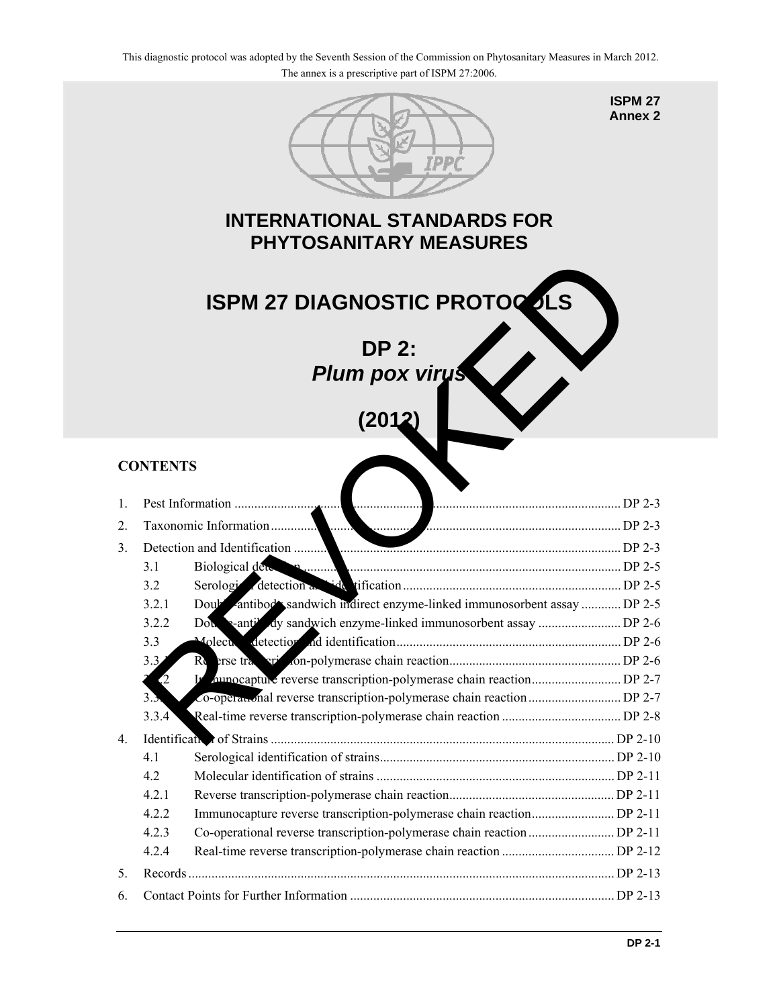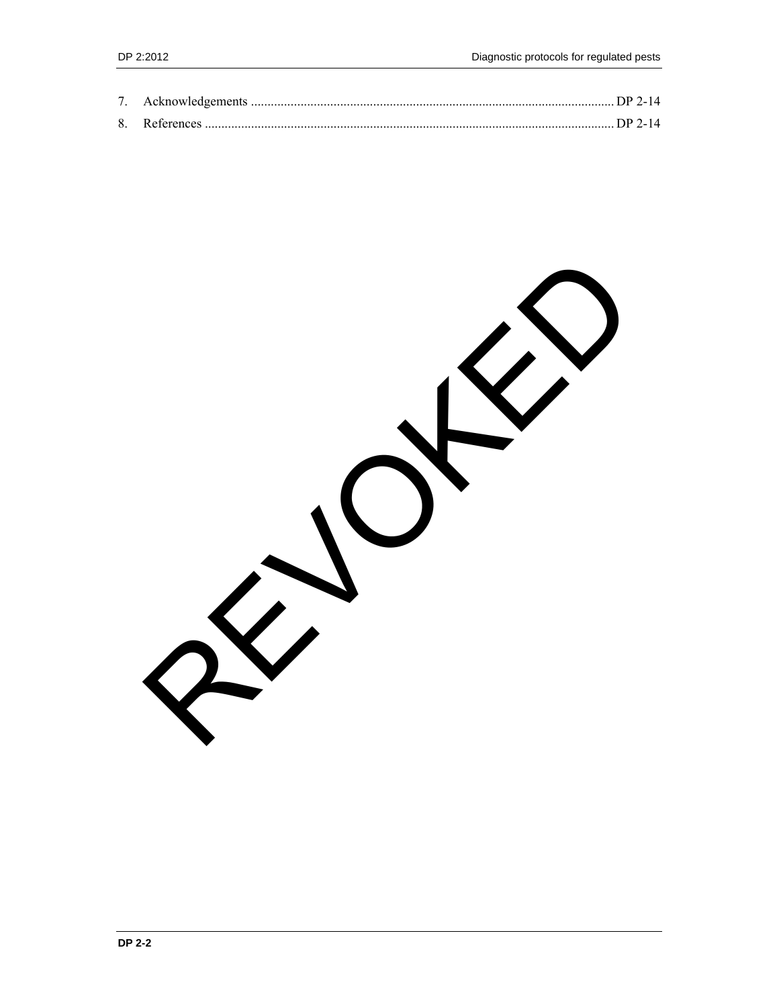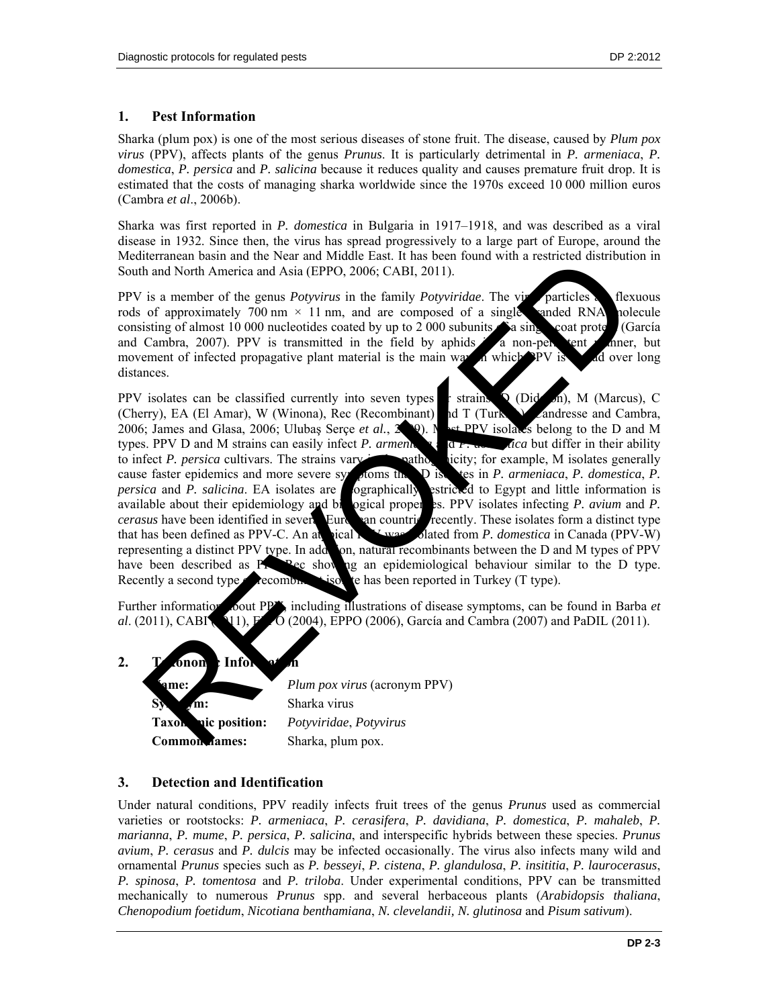### **1. Pest Information**

Sharka (plum pox) is one of the most serious diseases of stone fruit. The disease, caused by *Plum pox virus* (PPV), affects plants of the genus *Prunus*. It is particularly detrimental in *P. armeniaca*, *P. domestica*, *P. persica* and *P. salicina* because it reduces quality and causes premature fruit drop. It is estimated that the costs of managing sharka worldwide since the 1970s exceed 10 000 million euros (Cambra *et al*., 2006b).

Sharka was first reported in *P. domestica* in Bulgaria in 1917–1918, and was described as a viral disease in 1932. Since then, the virus has spread progressively to a large part of Europe, around the Mediterranean basin and the Near and Middle East. It has been found with a restricted distribution in South and North America and Asia (EPPO, 2006; CABI, 2011).

PPV is a member of the genus *Potyvirus* in the family *Potyviridae*. The vira particles a flexuous rods of approximately 700 nm  $\times$  11 nm, and are composed of a single-standed RNA polecule consisting of almost 10 000 nucleotides coated by up to 2 000 subunits  $\hat{a}$  a single coat prote and Cambra, 2007). PPV is transmitted in the field by aphids a non-persistent manner, but movement of infected propagative plant material is the main way in which PV is movement of infected propagative plant material is the main way in which PPV is  $\mathcal{A}$  d over long distances.

PPV isolates can be classified currently into seven types or strains:  $\Omega$  (Dideron), M (Marcus), C (Cherry), EA (El Amar), W (Winona), Rec (Recombinant) and T (Turk (Cherry), EA (El Amar), W (Winona), Rec (Recombinant) and T (Turkish) and resse and Cambra, 2006; James and Glasa, 2006; Ulubaş Serçe et al., 2009). Nost PPV isolates belong to the D and M types. PPV D and M strains can easily infect *P. armenia* and *P. domestica* but differ in their ability to infect *P. persica* cultivars. The strains vary **interest pathogenicity**; for example, M isolates generally cause faster epidemics and more severe symptoms than D is less in *P. armeniaca*, *P. domestica*, *P. persica* and *P. salicina*. EA isolates are ographically estricted to Egypt and little information is available about their epidemiology and biological properties. PPV isolates infecting *P. avium* and *P. cerasus* have been identified in several European countries recently. These isolates form a distinct type that has been defined as PPV-C. An at **pical PPV was considered** from *P. domestica* in Canada (PPV-W) representing a distinct PPV type. In addition, natural recombinants between the D and M types of PPV have been described as  $P_{\text{P}}$ -Rec showing an epidemiological behaviour similar to the D type. Recently a second type  $\bullet$  recombination to the has been reported in Turkey (T type). termine to the Near and Model East r has been louded in the search of the search of a model in the search of the genus Polyvirus in the family Polyviridae. The virtual flexible and Model ENA<br>sing of almost 10 000 nucleotid

Further information cout PP<sup>V</sup>, including illustrations of disease symptoms, can be found in Barba *et al*. (2011), CABI (211), **F**  $\sim$  O (2004), EPPO (2006), García and Cambra (2007) and PaDIL (2011).



## **3. Detection and Identification**

Under natural conditions, PPV readily infects fruit trees of the genus *Prunus* used as commercial varieties or rootstocks: *P. armeniaca*, *P. cerasifera*, *P. davidiana*, *P. domestica*, *P. mahaleb*, *P. marianna*, *P. mume*, *P. persica*, *P. salicina*, and interspecific hybrids between these species. *Prunus avium*, *P. cerasus* and *P. dulcis* may be infected occasionally. The virus also infects many wild and ornamental *Prunus* species such as *P. besseyi*, *P. cistena*, *P. glandulosa*, *P. insititia*, *P. laurocerasus*, *P. spinosa*, *P. tomentosa* and *P. triloba*. Under experimental conditions, PPV can be transmitted mechanically to numerous *Prunus* spp. and several herbaceous plants (*Arabidopsis thaliana*, *Chenopodium foetidum*, *Nicotiana benthamiana*, *N. clevelandii, N. glutinosa* and *Pisum sativum*).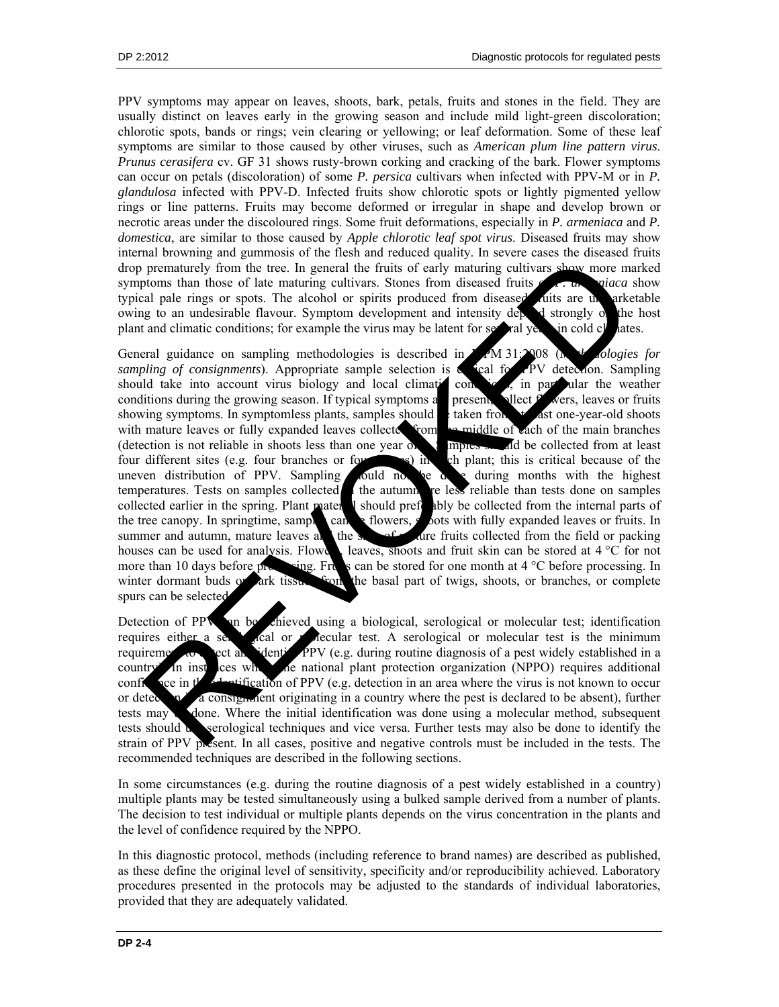PPV symptoms may appear on leaves, shoots, bark, petals, fruits and stones in the field. They are usually distinct on leaves early in the growing season and include mild light-green discoloration; chlorotic spots, bands or rings; vein clearing or yellowing; or leaf deformation. Some of these leaf symptoms are similar to those caused by other viruses, such as *American plum line pattern virus*. *Prunus cerasifera* cv. GF 31 shows rusty-brown corking and cracking of the bark. Flower symptoms can occur on petals (discoloration) of some *P. persica* cultivars when infected with PPV-M or in *P. glandulosa* infected with PPV-D. Infected fruits show chlorotic spots or lightly pigmented yellow rings or line patterns. Fruits may become deformed or irregular in shape and develop brown or necrotic areas under the discoloured rings. Some fruit deformations, especially in *P. armeniaca* and *P. domestica*, are similar to those caused by *Apple chlorotic leaf spot virus*. Diseased fruits may show internal browning and gummosis of the flesh and reduced quality. In severe cases the diseased fruits drop prematurely from the tree. In general the fruits of early maturing cultivars show more marked symptoms than those of late maturing cultivars. Stones from diseased fruits of *P. armeniaca* show typical pale rings or spots. The alcohol or spirits produced from diseased dits are un arketable owing to an undesirable flavour. Symptom development and intensity depend strongly of the host plant and climatic conditions; for example the virus may be latent for set all yesses in cold clear at the host plant and climatic conditions; for example the virus may be latent for several years in cold climates.

General guidance on sampling methodologies is described in ISPM 31:2008 (*Methodologies for sampling of consignments*). Appropriate sample selection is considered for PV detection. Sampling should take into account virus biology and local climatic conductions, in particular the weather conditions during the growing season. If typical symptoms a present, ellect  $f$  wers, leaves or fruits showing symptoms. In symptomless plants, samples should be taken from  $\bullet$  at one-year-old shoots with mature leaves or fully expanded leaves collected from the middle of each of the main branches (detection is not reliable in shoots less than one year of  $\sum_{n=1}^{\infty}$  and be collected from at least four different sites (e.g. four branches or for  $\leq$  s) in ch plant; this is critical because of the uneven distribution of PPV. Sampling sould not be done during months with the highest temperatures. Tests on samples collected in the autumn are less reliable than tests done on samples collected earlier in the spring. Plant mater I should preferably be collected from the internal parts of the tree canopy. In springtime, samples can be flowers, shoots with fully expanded leaves or fruits. In summer and autumn, mature leaves and the skin of mature fruits collected from the field or packing houses can be used for analysis. Flower, shoots and fruit skin can be stored at  $4^{\circ}$ C for not more than 10 days before processing. Fruits can be stored for one month at  $4^{\circ}$ C before processing. In winter dormant buds or ark tissues from the basal part of twigs, shoots, or branches, or complete spurs can be selected. and one alternation of persons of the main of the sacked via the sacked from the sacked from the sacked from the sacked from the sacked from the sacked from the sacked from the sacked from the sacked from the sacked from t

Detection of PPV on be chieved using a biological, serological or molecular test; identification requires either a serological or molecular test. A serological or molecular test is the minimum requirement to detect and identify PPV (e.g. during routine diagnosis of a pest widely established in a country. In instances where the national plant protection organization (NPPO) requires additional confidence in the identification of PPV (e.g. detection in an area where the virus is not known to occur or detection in a consignment originating in a country where the pest is declared to be absent), further tests may done. Where the initial identification was done using a molecular method, subsequent tests should use serological techniques and vice versa. Further tests may also be done to identify the strain of PPV present. In all cases, positive and negative controls must be included in the tests. The recommended techniques are described in the following sections.

In some circumstances (e.g. during the routine diagnosis of a pest widely established in a country) multiple plants may be tested simultaneously using a bulked sample derived from a number of plants. The decision to test individual or multiple plants depends on the virus concentration in the plants and the level of confidence required by the NPPO.

In this diagnostic protocol, methods (including reference to brand names) are described as published, as these define the original level of sensitivity, specificity and/or reproducibility achieved. Laboratory procedures presented in the protocols may be adjusted to the standards of individual laboratories, provided that they are adequately validated.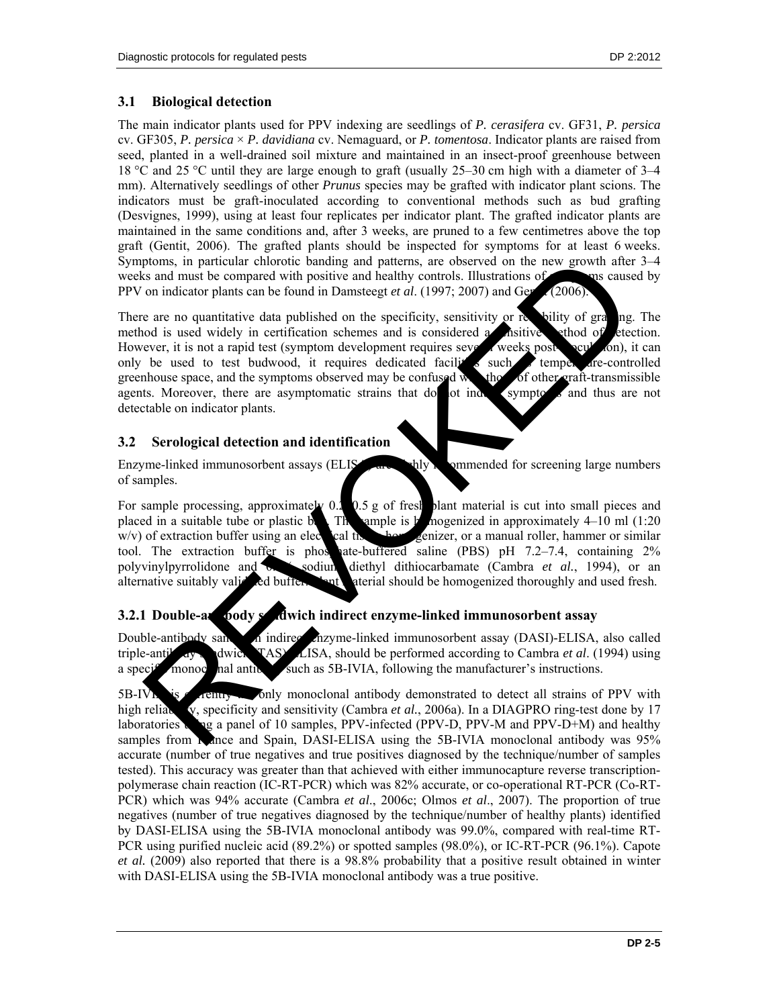## **3.1 Biological detection**

The main indicator plants used for PPV indexing are seedlings of *P. cerasifera* cv. GF31, *P. persica* cv. GF305, *P. persica* × *P. davidiana* cv. Nemaguard, or *P. tomentosa*. Indicator plants are raised from seed, planted in a well-drained soil mixture and maintained in an insect-proof greenhouse between 18 °C and 25 °C until they are large enough to graft (usually 25–30 cm high with a diameter of 3–4 mm). Alternatively seedlings of other *Prunus* species may be grafted with indicator plant scions. The indicators must be graft-inoculated according to conventional methods such as bud grafting (Desvignes, 1999), using at least four replicates per indicator plant. The grafted indicator plants are maintained in the same conditions and, after 3 weeks, are pruned to a few centimetres above the top graft (Gentit, 2006). The grafted plants should be inspected for symptoms for at least 6 weeks. Symptoms, in particular chlorotic banding and patterns, are observed on the new growth after 3–4 weeks and must be compared with positive and healthy controls. Illustrations of symptoms caused by PPV on indicator plants can be found in Damsteegt *et al.* (1997; 2007) and Gentit (2006).

There are no quantitative data published on the specificity, sensitivity or relativity of grading. The method is used widely in certification schemes and is considered a *s*histive ethod of etection. However, it is not a rapid test (symptom development requires several weeks post-increased  $\alpha$ ), it can only be used to test budwood, it requires dedicated facility  $s$  such a temperature-controlled greenhouse space, and the symptoms observed may be confused with the of other graft-transmissible agents. Moreover, there are asymptomatic strains that do not induce symptoms and thus are not detectable on indicator plants. ptomas, in particular chlorotic banding and patterns, are observed on the new growth after<br>the earth pointing and patterns, are observed on the new growth after<br>on indicator plants can be found in Damstegt *et al.* (1997;

## **3.2 Serological detection and identification**

Enzyme-linked immunosorbent assays (ELISA) and highly represented for screening large numbers of samples.

For sample processing, approximately  $0.2$ ,  $0.5$  g of fresh plant material is cut into small pieces and placed in a suitable tube or plastic began Theorem is homogenized in approximately  $4-10$  ml (1:20)  $w/v$ ) of extraction buffer using an electrical tissue homogenizer, or a manual roller, hammer or similar tool. The extraction buffer is phosphate-buffered saline (PBS) pH  $7.2-7.4$ , containing  $2\%$ polyvinylpyrrolidone and 0.2% sodium diethyl dithiocarbamate (Cambra *et al.*, 1994), or an alternative suitably valid ed buffer. Paul material should be homogenized thoroughly and used fresh.

# **3.2.1 Double-and ody studies indirect enzyme-linked immunosorbent assay**

Double-antibody sandwich indirect enzyme-linked immunosorbent assay (DASI)-ELISA, also called triple-anti $\frac{d}{dx}$  dwich  $\frac{d}{dx}$  (TAS)  $\frac{d}{dx}$ . ELISA, should be performed according to Cambra *et al.* (1994) using a specific monoclonal antibody such as  $5B-VIA$ , following the manufacturer's instructions.

 $5B\text{-IV}$  is currently the only monoclonal antibody demonstrated to detect all strains of PPV with high reliability, specificity and sensitivity (Cambra *et al.*, 2006a). In a DIAGPRO ring-test done by 17 laboratories  $\mathbf{u}$  a panel of 10 samples, PPV-infected (PPV-D, PPV-M and PPV-D+M) and healthy samples from France and Spain, DASI-ELISA using the 5B-IVIA monoclonal antibody was 95% accurate (number of true negatives and true positives diagnosed by the technique/number of samples tested). This accuracy was greater than that achieved with either immunocapture reverse transcriptionpolymerase chain reaction (IC-RT-PCR) which was 82% accurate, or co-operational RT-PCR (Co-RT-PCR) which was 94% accurate (Cambra *et al*., 2006c; Olmos *et al*., 2007). The proportion of true negatives (number of true negatives diagnosed by the technique/number of healthy plants) identified by DASI-ELISA using the 5B-IVIA monoclonal antibody was 99.0%, compared with real-time RT-PCR using purified nucleic acid (89.2%) or spotted samples (98.0%), or IC-RT-PCR (96.1%). Capote *et al.* (2009) also reported that there is a 98.8% probability that a positive result obtained in winter with DASI-ELISA using the 5B-IVIA monoclonal antibody was a true positive.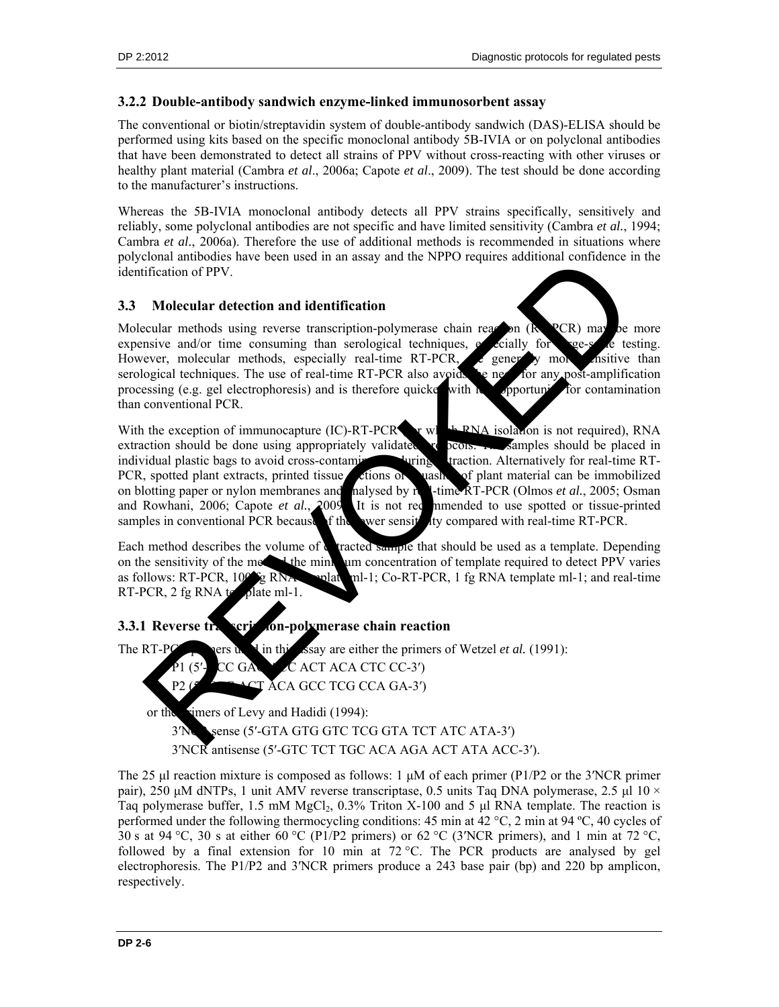### **3.2.2 Double-antibody sandwich enzyme-linked immunosorbent assay**

The conventional or biotin/streptavidin system of double-antibody sandwich (DAS)-ELISA should be performed using kits based on the specific monoclonal antibody 5B-IVIA or on polyclonal antibodies that have been demonstrated to detect all strains of PPV without cross-reacting with other viruses or healthy plant material (Cambra *et al*., 2006a; Capote *et al*., 2009). The test should be done according to the manufacturer's instructions.

Whereas the 5B-IVIA monoclonal antibody detects all PPV strains specifically, sensitively and reliably, some polyclonal antibodies are not specific and have limited sensitivity (Cambra *et al.*, 1994; Cambra *et al.*, 2006a). Therefore the use of additional methods is recommended in situations where polyclonal antibodies have been used in an assay and the NPPO requires additional confidence in the identification of PPV.

#### **3.3 Molecular detection and identification**

Molecular methods using reverse transcription-polymerase chain reaction ( $R$ PCR) may be more expensive and/or time consuming than serological techniques,  $e_{\text{c}}$  consuming than serological techniques,  $e_{\text{c}}$  consuming However, molecular methods, especially real-time RT-PCR, as generally more sensitive than serological techniques. The use of real-time RT-PCR also avoids the net for any post-amplification processing (e.g. gel electrophoresis) and is therefore quicke with  $\sim$  opportunities. processing (e.g. gel electrophoresis) and is therefore quicker with less opportunity for contamination than conventional PCR.

With the exception of immunocapture (IC)-RT-PCR  $\bullet$  r which RNA isolation is not required), RNA extraction should be done using appropriately validated **provides**  $\frac{1}{2}$  protocols. The samples should be placed in individual plastic bags to avoid cross-contaming **the straction** during extraction. Alternatively for real-time RT-PCR, spotted plant extracts, printed tissue sections or squashes of plant material can be immobilized on blotting paper or nylon membranes and halysed by real-time RT-PCR (Olmos *et al.*, 2005; Osman and Rowhani, 2006; Capote *et al.*, 2009. It is not recommended to use spotted or tissue-printed samples in conventional PCR because of the lower sensitivity compared with real-time RT-PCR. EXPRESS PROFESSION AND MANUFACTURE CONTENT AND SERVICE CONTENT AND SERVICE CONTENT AND MANUFACTURE CONTENT AND SERVICE CONTENT AND SERVICE CONTENT AND SERVICE CONTENT AND SERVICE CONTENT AND SERVICE CONTENT AND SERVICE CO

Each method describes the volume of  $\epsilon$  tracted sample that should be used as a template. Depending on the sensitivity of the method the minimum concentration of template required to detect PPV varies as follows: RT-PCR,  $100^{\circ}$  g RNA  $_{\text{m-l}}$ ; Co-RT-PCR, 1 fg RNA template ml-1; and real-time RT-PCR,  $2$  fg RNA template ml-1.

## **3.3.1 Reverse transcription-polymerase chain reaction**

The RT-PC<sup>R</sup> pers used in this assay are either the primers of Wetzel *et al.* (1991):

ACT ACA CTC CC-3') P2 (5<sup>-1</sup>-CT ACA GCC TCG CCA GA-3')

or the simers of Levy and Hadidi (1994):

3<sup>'</sup>NC<sub>Sense</sub> (5'-GTA GTG GTC TCG GTA TCT ATC ATA-3')

3′NCR antisense (5′-GTC TCT TGC ACA AGA ACT ATA ACC-3′).

The 25 μl reaction mixture is composed as follows: 1 μM of each primer (P1/P2 or the 3′NCR primer pair), 250 μM dNTPs, 1 unit AMV reverse transcriptase, 0.5 units Taq DNA polymerase, 2.5 μl 10 × Taq polymerase buffer, 1.5 mM MgCl<sub>2</sub>,  $0.3\%$  Triton X-100 and 5 μl RNA template. The reaction is performed under the following thermocycling conditions: 45 min at 42 °C, 2 min at 94 ºC, 40 cycles of 30 s at 94 °C, 30 s at either 60 °C (P1/P2 primers) or 62 °C (3′NCR primers), and 1 min at 72 °C, followed by a final extension for 10 min at  $72^{\circ}$ C. The PCR products are analysed by gel electrophoresis. The P1/P2 and 3′NCR primers produce a 243 base pair (bp) and 220 bp amplicon, respectively.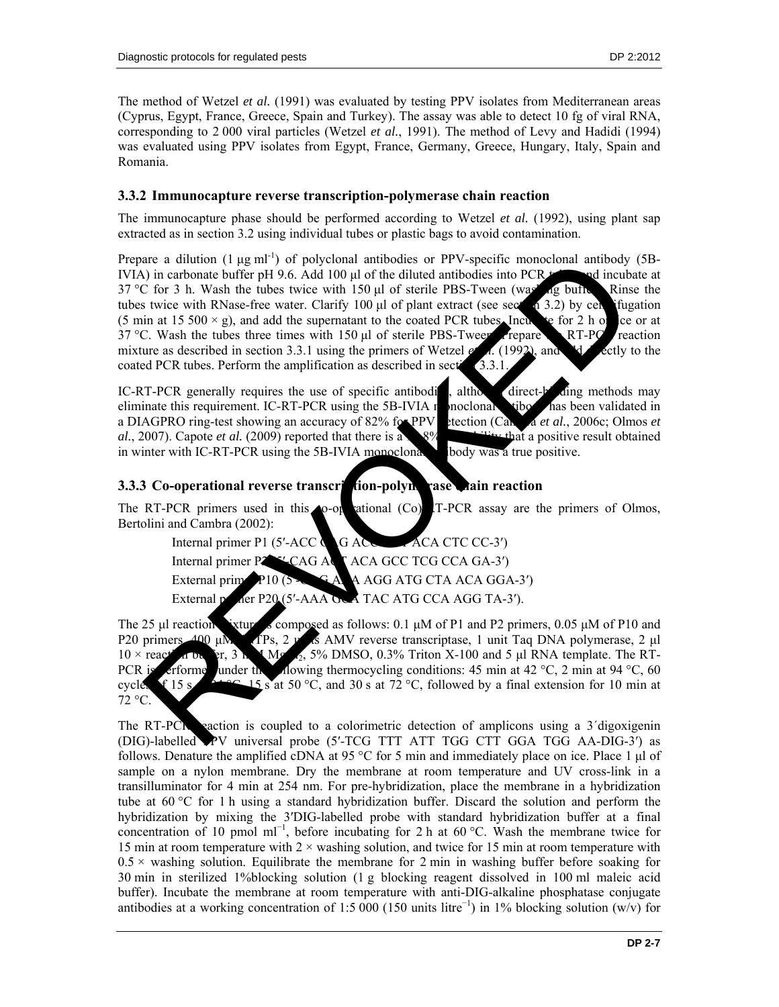The method of Wetzel *et al.* (1991) was evaluated by testing PPV isolates from Mediterranean areas (Cyprus, Egypt, France, Greece, Spain and Turkey). The assay was able to detect 10 fg of viral RNA, corresponding to 2 000 viral particles (Wetzel *et al.*, 1991). The method of Levy and Hadidi (1994) was evaluated using PPV isolates from Egypt, France, Germany, Greece, Hungary, Italy, Spain and Romania.

## **3.3.2 Immunocapture reverse transcription-polymerase chain reaction**

The immunocapture phase should be performed according to Wetzel *et al.* (1992), using plant sap extracted as in section 3.2 using individual tubes or plastic bags to avoid contamination.

Prepare a dilution  $(1 \mu g \text{ ml}^{-1})$  of polyclonal antibodies or PPV-specific monoclonal antibody (5B-IVIA) in carbonate buffer pH 9.6. Add 100 µl of the diluted antibodies into PCR  $t$  and incubate at 37 °C for 3 h. Wash the tubes twice with 150 μl of sterile PBS-Tween (washing buffer). Rinse the tubes twice with RNase-free water. Clarify 100  $\mu$  of plant extract (see sect 1 3.2) by centrifugation (5 min at 15 500  $\times$  g), and add the supernatant to the coated PCR tubes. Incur  $\approx$  for 2 h on ice or at 37 °C. Wash the tubes three times with 150  $\mu$ l of sterile PBS-Tween. Prepare RT-PC reaction mixture as described in section 3.3.1 using the primers of Wetzel  $e^t$  al. (1992), and directly to the coated PCR tubes. Perform the amplification as described in section  $(3.3.1$ . are a dilution (1 ug mil<sup>11</sup>) of polyclonal antibodies or PPV-specife monoclonal antibodies and inclusion and inclusion of the diluted antibodies into PCR and inclusion of the state. Clarify 100 ul of sterile PBS-Tween (w

IC-RT-PCR generally requires the use of specific antibodi<sup>d</sup>, although direct-binding methods may eliminate this requirement. IC-RT-PCR using the  $5B-IVIA$  monoclonal and  $100$  has been validated in a DIAGPRO ring-test showing an accuracy of 82% for PPV etection (Cambra *et al.*, 2006c; Olmos *et al.*, 2007). Capote *et al.* (2009) reported that there is a  $\frac{8\%}{8\%}$  **probability that a positive result obtained** in winter with IC-RT-PCR using the 5B-IVIA monoclonal body was a true positive.

## **3.3.3 Co-operational reverse transcription-polymerate chain reaction**

The RT-PCR primers used in this  $\triangle$ o-operational (Co). IT-PCR assay are the primers of Olmos, Bertolini and Cambra (2002):

Internal primer P1 (5′-ACC  $\bigcirc$  G ACC ACA CTC CC-3′) Internal primer P2<sup>6</sup><sup>-x</sup>-CAG ACT ACA GCC TCG CCA GA-3<sup>'</sup>) External primer P10 (5°CACAGG ATG CTA ACAGGA-3′) External primer P20 (5′-AAA GCA TAC ATG CCA AGG TA-3′).

The 25 ul reaction ixture is composed as follows:  $0.1 \mu M$  of P1 and P2 primers,  $0.05 \mu M$  of P10 and P20 primers, 400 μM density and AMV reverse transcriptase, 1 unit Taq DNA polymerase, 2 μl  $10 \times \text{reac}$  and buffer, 3 mM MgC<sub>l2</sub>, 5% DMSO, 0.3% Triton X-100 and 5 μl RNA template. The RT-PCR is efformed under the flowing thermocycling conditions: 45 min at 42 °C, 2 min at 94 °C, 60 cycles of 15 s  $\sim$  15 s at 50 °C, and 30 s at 72 °C, followed by a final extension for 10 min at 72 °C.

The RT-PCR reaction is coupled to a colorimetric detection of amplicons using a 3<sup>'</sup>digoxigenin (DIG)-labelled PPV universal probe (5′-TCG TTT ATT TGG CTT GGA TGG AA-DIG-3′) as follows. Denature the amplified cDNA at 95 °C for 5 min and immediately place on ice. Place 1 μl of sample on a nylon membrane. Dry the membrane at room temperature and UV cross-link in a transilluminator for 4 min at 254 nm. For pre-hybridization, place the membrane in a hybridization tube at 60 °C for 1 h using a standard hybridization buffer. Discard the solution and perform the hybridization by mixing the 3′DIG-labelled probe with standard hybridization buffer at a final concentration of 10 pmol ml<sup>-1</sup>, before incubating for 2 h at 60 °C. Wash the membrane twice for 15 min at room temperature with  $2 \times$  washing solution, and twice for 15 min at room temperature with  $0.5 \times$  washing solution. Equilibrate the membrane for 2 min in washing buffer before soaking for 30 min in sterilized 1%blocking solution (1 g blocking reagent dissolved in 100 ml maleic acid buffer). Incubate the membrane at room temperature with anti-DIG-alkaline phosphatase conjugate antibodies at a working concentration of 1:5 000 (150 units litre<sup>-1</sup>) in 1% blocking solution (w/v) for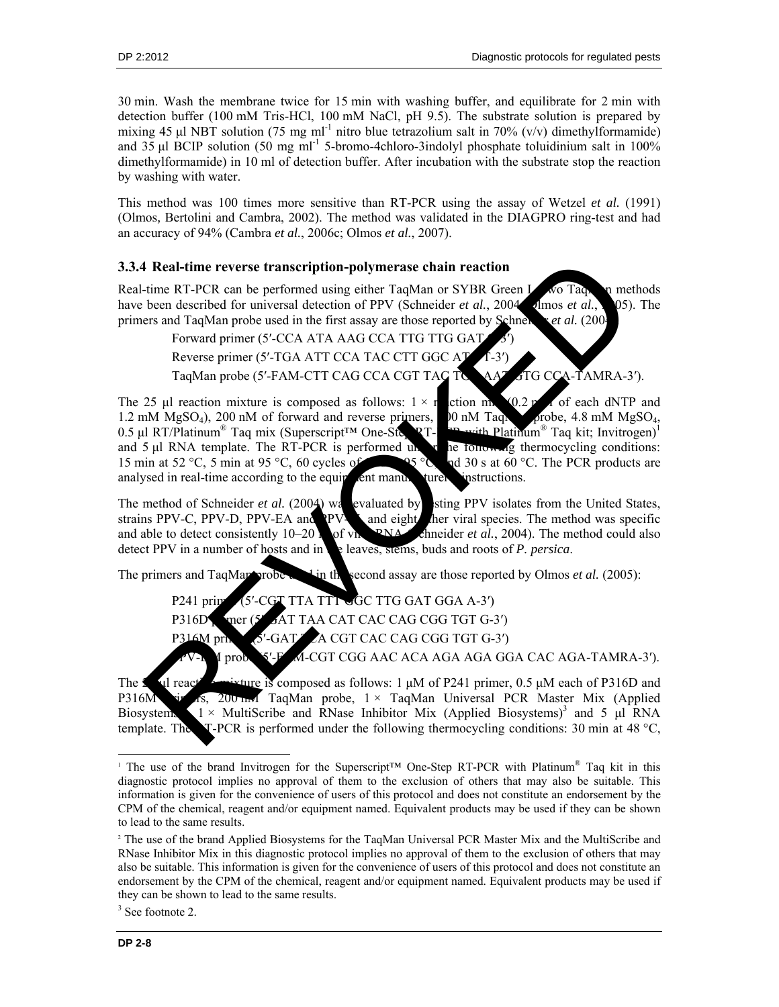30 min. Wash the membrane twice for 15 min with washing buffer, and equilibrate for 2 min with detection buffer (100 mM Tris-HCl, 100 mM NaCl, pH 9.5). The substrate solution is prepared by mixing 45 μl NBT solution (75 mg ml<sup>-1</sup> nitro blue tetrazolium salt in 70% (v/v) dimethylformamide) and 35 μl BCIP solution (50 mg ml<sup>-1</sup> 5-bromo-4chloro-3indolyl phosphate toluidinium salt in 100% dimethylformamide) in 10 ml of detection buffer. After incubation with the substrate stop the reaction by washing with water.

This method was 100 times more sensitive than RT-PCR using the assay of Wetzel *et al.* (1991) (Olmos*,* Bertolini and Cambra, 2002). The method was validated in the DIAGPRO ring-test and had an accuracy of 94% (Cambra *et al.*, 2006c; Olmos *et al.*, 2007).

## **3.3.4 Real-time reverse transcription-polymerase chain reaction**

Real-time RT-PCR can be performed using either TaqMan or SYBR Green I. Wo TaqMan methods have been described for universal detection of PPV (Schneider *et al.*, 2004; Imos *et al.*, 205). The primers and TaqMan probe used in the first assay are those reported by Schnender *et al.* (200<sup>2</sup>):

Forward primer (5'-CCA ATA AAG CCA TTG TTG GAT Reverse primer (5'-TGA ATT CCA TAC CTT GGC A) TaqMan probe (5'-FAM-CTT CAG CCA CGT TAC TGAAT GTG CCA-TAMRA-3').

The 25 µl reaction mixture is composed as follows:  $1 \times r$  ction m. (0.2 mM of each dNTP and 1.2 mM  $MgSO<sub>4</sub>$ , 200 nM of forward and reverse primers,  $\Box$  0 nM TaqMan probe, 4.8 mM  $MgSO<sub>4</sub>$ , 0.5 μl RT/Platinum<sup>®</sup> Taq mix (Superscript<sup>TM</sup> One-Step RT-Possible Platinum<sup>®</sup> Taq kit; Invitrogen)<sup>1</sup> and 5  $\mu$ l RNA template. The RT-PCR is performed under the following thermocycling conditions: 15 min at 52 °C, 5 min at 95 °C, 60 cycles of 15 °C, and 30 s at 60 °C. The PCR products are analysed in real-time according to the equipment manufacturery instructions. **FREED FOR CONSIDERATION** The CASE CONSIDERATION of SURVEY CAN ACT CASE CONSIDERATION CONSIDERATION CONSIDERATION CONSIDERATION CONSIDERATION CONSIDERATION CONSIDERATION CONSIDERATION CONSIDERATION CONSIDERATION CONSIDERA

The method of Schneider *et al.* (2004) was evaluated by sting PPV isolates from the United States, strains PPV-C PPV-D PPV-EA and NPV-C and eight her viral species. The method was specific strains PPV-C, PPV-D, PPV-EA and PPV- and eight her viral species. The method was specific and able to detect consistently  $10-20$  for viral RNA (see *et al.*, 2004). The method could also detect PPV in a number of hosts and in the leaves, stems, buds and roots of *P. persica*.

The primers and TaqMan probe  $\frac{1}{2}$  in the second assay are those reported by Olmos *et al.* (2005):

P241 primer (5'-CGT TTA TTT GC TTG GAT GGA A-3') P316D primer (5' GAT TAA CAT CAC CAG CGG TGT G-3') P316M primer (5'-GAT TCA CGT CAC CAG CGG TGT G-3') A-CGT CGG AAC ACA AGA AGA GGA CAC AGA-TAMRA-3').

The 2<sup>5</sup> μl react<sup>ing</sup> mixture is composed as follows: 1 μM of P241 primer, 0.5 μM each of P316D and P316M primary 18, 200 nm TaqMan probe,  $1 \times$  TaqMan Universal PCR Master Mix (Applied Biosystem  $1 \times$  MultiScribe and RNase Inhibitor Mix (Applied Biosystems)<sup>3</sup> and 5 μl RNA template. The **T-PCR** is performed under the following thermocycling conditions: 30 min at 48 °C,

l

<sup>&</sup>lt;sup>1</sup> The use of the brand Invitrogen for the Superscript<sup>™</sup> One-Step RT-PCR with Platinum<sup>®</sup> Taq kit in this diagnostic protocol implies no approval of them to the exclusion of others that may also be suitable. This information is given for the convenience of users of this protocol and does not constitute an endorsement by the CPM of the chemical, reagent and/or equipment named. Equivalent products may be used if they can be shown to lead to the same results.

<sup>2</sup> The use of the brand Applied Biosystems for the TaqMan Universal PCR Master Mix and the MultiScribe and RNase Inhibitor Mix in this diagnostic protocol implies no approval of them to the exclusion of others that may also be suitable. This information is given for the convenience of users of this protocol and does not constitute an endorsement by the CPM of the chemical, reagent and/or equipment named. Equivalent products may be used if they can be shown to lead to the same results.

<sup>&</sup>lt;sup>3</sup> See footnote 2.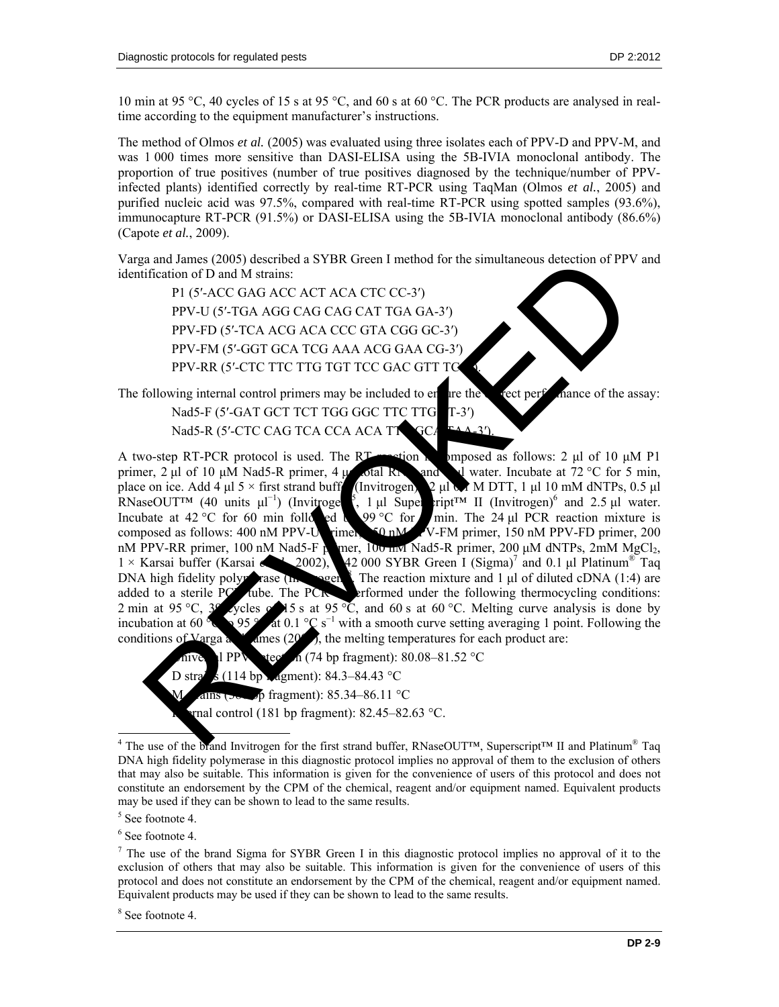10 min at 95 °C, 40 cycles of 15 s at 95 °C, and 60 s at 60 °C. The PCR products are analysed in realtime according to the equipment manufacturer's instructions.

The method of Olmos *et al.* (2005) was evaluated using three isolates each of PPV-D and PPV-M, and was 1 000 times more sensitive than DASI-ELISA using the 5B-IVIA monoclonal antibody. The proportion of true positives (number of true positives diagnosed by the technique/number of PPVinfected plants) identified correctly by real-time RT-PCR using TaqMan (Olmos *et al.*, 2005) and purified nucleic acid was 97.5%, compared with real-time RT-PCR using spotted samples (93.6%), immunocapture RT-PCR (91.5%) or DASI-ELISA using the 5B-IVIA monoclonal antibody (86.6%) (Capote *et al.*, 2009).

Varga and James (2005) described a SYBR Green I method for the simultaneous detection of PPV and identification of D and M strains:

P1 (5′-ACC GAG ACC ACT ACA CTC CC-3′) PPV-U (5′-TGA AGG CAG CAG CAT TGA GA-3′) PPV-FD (5′-TCA ACG ACA CCC GTA CGG GC-3′) PPV-FM (5′-GGT GCA TCG AAA ACG GAA CG-3′) PPV-RR (5'-CTC TTC TTG TGT TCC GAC GTT TC

The following internal control primers may be included to enture the correct performance of the assay: Nad5-F (5'-GAT GCT TCT TGG GGC TTC TTG T-3') Nad5-R (5'-CTC CAG TCA CCA ACA TT GCA

A two-step RT-PCR protocol is used. The RT reaction is employed as follows: 2 μl of 10 μM P1 primer, 2 μl of 10 μM Nad5-R primer, 4 μg total RN and 5 μl water. Incubate at 72 °C for 5 min, place on ice. Add 4 μl 5 × first strand buff (Invitrogen) 2 μl M DTT, 1 μl 10 mM dNTPs, 0.5 μl place on ice. Add 4 μl  $5 \times$  first strand buff  $2 \mu$ l  $\lambda$  M DTT, 1  $\mu$ l 10 mM dNTPs, 0.5  $\mu$ l RNaseOUT<sup>™</sup> (40 units  $\mu$ <sup>-1</sup>) (Invitrogen<sup>5</sup>  $, 1$  μl Superscript<sup>™</sup> II (Invitrogen)<sup>6</sup> and 2.5 μl water. Incubate at 42 °C for 60 min followed by 9 °C for  $\sin$  min. The 24 µl PCR reaction mixture is composed as follows:  $400 \text{ nM}$  PPV-U rimer,  $\overline{90 \text{ nM}}$  V-FM primer, 150 nM PPV-FD primer, 200 nM PPV-RR primer, 100 nM Nad5-F p mer, 100 nM Nad5-R primer, 200 μM dNTPs, 2mM MgCl<sub>2</sub>,  $1 \times$  Karsai buffer (Karsai a (2002), 42 000 SYBR Green I (Sigma)<sup>7</sup> and 0.1 μl Platinum<sup>®</sup> Taq  $1 \times$  Karsai buffer (Karsai **et al.**, 2002), 42 000 SYBR Green I (Sigma)<sup>7</sup> and 0.1 μl Platinum<sup>®</sup> Taq.  $DNA high fidelity polyerase (In, 1988)$ The reaction mixture and  $1 \mu l$  of diluted cDNA (1:4) are added to a sterile PC tube. The PCR erformed under the following thermocycling conditions: 2 min at 95 °C,  $3^{\circ}$  cycles  $\circ$  15 s at 95 °C, and 60 s at 60 °C. Melting curve analysis is done by incubation at 60 $\degree$ at 0.1  $\degree$ C s<sup>-1</sup> with a smooth curve setting averaging 1 point. Following the conditions of Varga and James  $(20\%)$ , the melting temperatures for each product are: a and Janeary (2005) described a SYBR Green I method for the simultaneous detection of PPV<br>
Fiftherion of D and M strains:<br>
PI (5'-ACC GAG ACC ACT ACA CTC CC-3')<br>
PPV-FD (5'-TCA AGG CAG CAG CAT TGA GA-3')<br>
PPV-FD (5'-TCA

 $\overline{\mathbf{h}}$  (74 bp fragment): 80.08–81.52 °C D strains (114 bp  $\Box$  agment): 84.3–84.43 °C  $\beta$  fragment): 85.34–86.11 °C rnal control (181 bp fragment):  $82.45 - 82.63$  °C.

<sup>&</sup>lt;sup>4</sup> The use of the brand Invitrogen for the first strand buffer, RNaseOUT™, Superscript™ II and Platinum<sup>®</sup> Taq DNA high fidelity polymerase in this diagnostic protocol implies no approval of them to the exclusion of others that may also be suitable. This information is given for the convenience of users of this protocol and does not constitute an endorsement by the CPM of the chemical, reagent and/or equipment named. Equivalent products may be used if they can be shown to lead to the same results.

<sup>5</sup> See footnote 4.

<sup>6</sup> See footnote 4.

 $<sup>7</sup>$  The use of the brand Sigma for SYBR Green I in this diagnostic protocol implies no approval of it to the</sup> exclusion of others that may also be suitable. This information is given for the convenience of users of this protocol and does not constitute an endorsement by the CPM of the chemical, reagent and/or equipment named. Equivalent products may be used if they can be shown to lead to the same results.

<sup>8</sup> See footnote 4.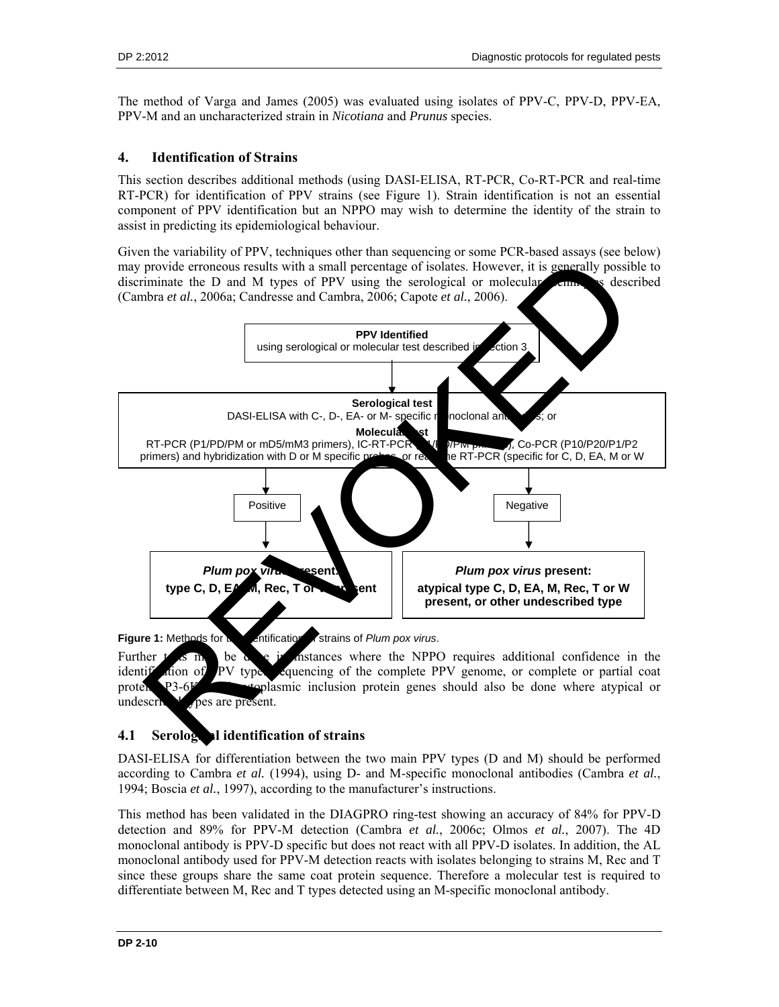The method of Varga and James (2005) was evaluated using isolates of PPV-C, PPV-D, PPV-EA, PPV-M and an uncharacterized strain in *Nicotiana* and *Prunus* species.

### **4. Identification of Strains**

This section describes additional methods (using DASI-ELISA, RT-PCR, Co-RT-PCR and real-time RT-PCR) for identification of PPV strains (see Figure 1). Strain identification is not an essential component of PPV identification but an NPPO may wish to determine the identity of the strain to assist in predicting its epidemiological behaviour.

Given the variability of PPV, techniques other than sequencing or some PCR-based assays (see below) may provide erroneous results with a small percentage of isolates. However, it is generally possible to discriminate the D and M types of PPV using the serological or molecular  $\epsilon$  only see described (Cambra *et al.*, 2006a; Candresse and Cambra, 2006; Capote *et al.*, 2006).



**Figure 1:** Methods for the interference of *Plum pox virus*.

Further  $t$  is may be done in instances where the NPPO requires additional confidence in the identification of PV type. Sequencing of the complete PPV genome, or complete or partial coat protein, P3-6K and cytoplasmic inclusion protein genes should also be done where atypical or undescribed  $\sqrt{\text{p}}$  pes are present.

## **4.1 Serological identification of strains**

DASI-ELISA for differentiation between the two main PPV types (D and M) should be performed according to Cambra *et al.* (1994), using D- and M-specific monoclonal antibodies (Cambra *et al.*, 1994; Boscia *et al.*, 1997), according to the manufacturer's instructions.

This method has been validated in the DIAGPRO ring-test showing an accuracy of 84% for PPV-D detection and 89% for PPV-M detection (Cambra *et al.*, 2006c; Olmos *et al.*, 2007). The 4D monoclonal antibody is PPV-D specific but does not react with all PPV-D isolates. In addition, the AL monoclonal antibody used for PPV-M detection reacts with isolates belonging to strains M, Rec and T since these groups share the same coat protein sequence. Therefore a molecular test is required to differentiate between M, Rec and T types detected using an M-specific monoclonal antibody.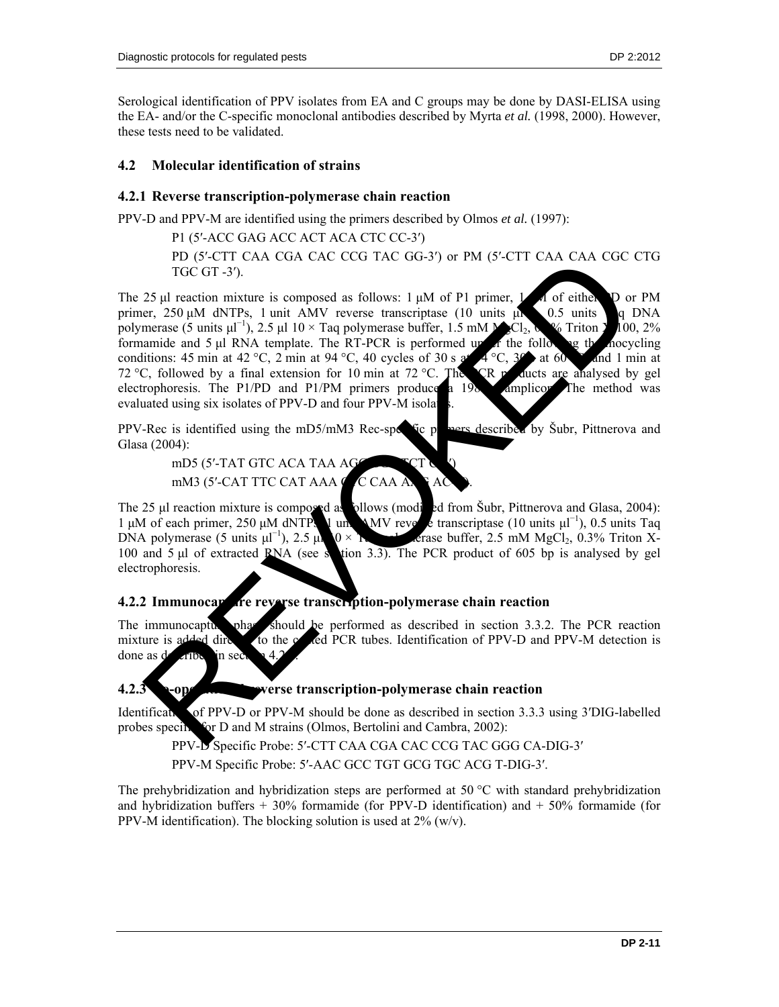Serological identification of PPV isolates from EA and C groups may be done by DASI-ELISA using the EA- and/or the C-specific monoclonal antibodies described by Myrta *et al.* (1998, 2000). However, these tests need to be validated.

#### **4.2 Molecular identification of strains**

#### **4.2.1 Reverse transcription-polymerase chain reaction**

PPV-D and PPV-M are identified using the primers described by Olmos *et al.* (1997):

P1 (5′-ACC GAG ACC ACT ACA CTC CC-3′) PD (5′-CTT CAA CGA CAC CCG TAC GG-3′) or PM (5′-CTT CAA CAA CGC CTG TGC GT -3′).

The 25 μl reaction mixture is composed as follows:  $1 \mu M$  of P1 primer,  $1 \mu M$  of either P or PM primer, 250 μM dNTPs, 1 unit AMV reverse transcriptase (10 units μl  $0.5$  units q DNA polymerase (5 units  $\mu$ <sup>-1</sup>), 2.5  $\mu$ 1 10 × Taq polymerase buffer, 1.5 mM  $\mu$ <sub>2</sub>Cl<sub>2</sub>, 0.3% Triton X<sub>1</sub>100, 2% formamide and 5 μl RNA template. The RT-PCR is performed up of the following the mocycling conditions: 45 min at 42 °C, 2 min at 94 °C, 40 cycles of 30 s at  $4^{\circ}$ C, 30 at 60  $^{\circ}$  and 1 min at 72 °C, followed by a final extension for 10 min at 72 °C. The **PCR products are analysed by gel** electrophoresis. The P1/PD and P1/PM primers produce a 198 amplicon. The method was evaluated using six isolates of PPV-D and four PPV-M isolates. PD (SC-C-11 CAR CAR ACC CLOUDING THE TIME IN THE TOWOTHER CAR ACCED TREET (SURFACE CLOUDING THE TOWOTHER CAR THE TOWOTHER CHOUNTS (SURFACE CLOUDING THE TOWOTHER CAR THE TOWOTHER CHOUNTS (SURFACE C) and the set of the set

PPV-Rec is identified using the mD5/mM3 Rec-specific primers described by Subr, Pittnerova and Glasa (2004):

mD5 (5'-TAT GTC ACA TAA AG mM3 (5'-CAT TTC CAT AAA $\bigcirc$ C CAA A

The 25  $\mu$ I reaction mixture is composed as pllows (moding of from Šubr, Pittnerova and Glasa, 2004):  $1 \mu M$  of each primer, 250 μM dNTPs, 1 units  $MN$  reverse transcriptation  $^{-1}$ ), 0.5 units Taq DNA polymerase (5 units  $\mu l^{-1}$  $0 \times 1$  erase buffer, 2.5 mM MgCl<sub>2</sub>, 0.3% Triton X-100 and 5  $\mu$ l of extracted RNA (see section 3.3). The PCR product of 605 bp is analysed by gel electrophoresis.

## **4.2.2 Immunocapture reverse transcription-polymerase chain reaction**

The immunocapture phase should be performed as described in section  $3.3.2$ . The PCR reaction mixture is added direction to the  $\alpha$  and PCR tubes. Identification of PPV-D and PPV-M detection is done as described in section 4.

## **4.2.3** Cope **Reverse transcription-polymerase chain reaction**

Identification of PPV-D or PPV-M should be done as described in section 3.3.3 using 3<sup> $\text{DIG-labeled}$ </sup> probes specific for D and M strains (Olmos, Bertolini and Cambra, 2002):

PPV-D Specific Probe: 5′-CTT CAA CGA CAC CCG TAC GGG CA-DIG-3′ PPV-M Specific Probe: 5′-AAC GCC TGT GCG TGC ACG T-DIG-3′.

The prehybridization and hybridization steps are performed at 50 °C with standard prehybridization and hybridization buffers  $+30\%$  formamide (for PPV-D identification) and  $+50\%$  formamide (for PPV-M identification). The blocking solution is used at  $2\%$  (w/v).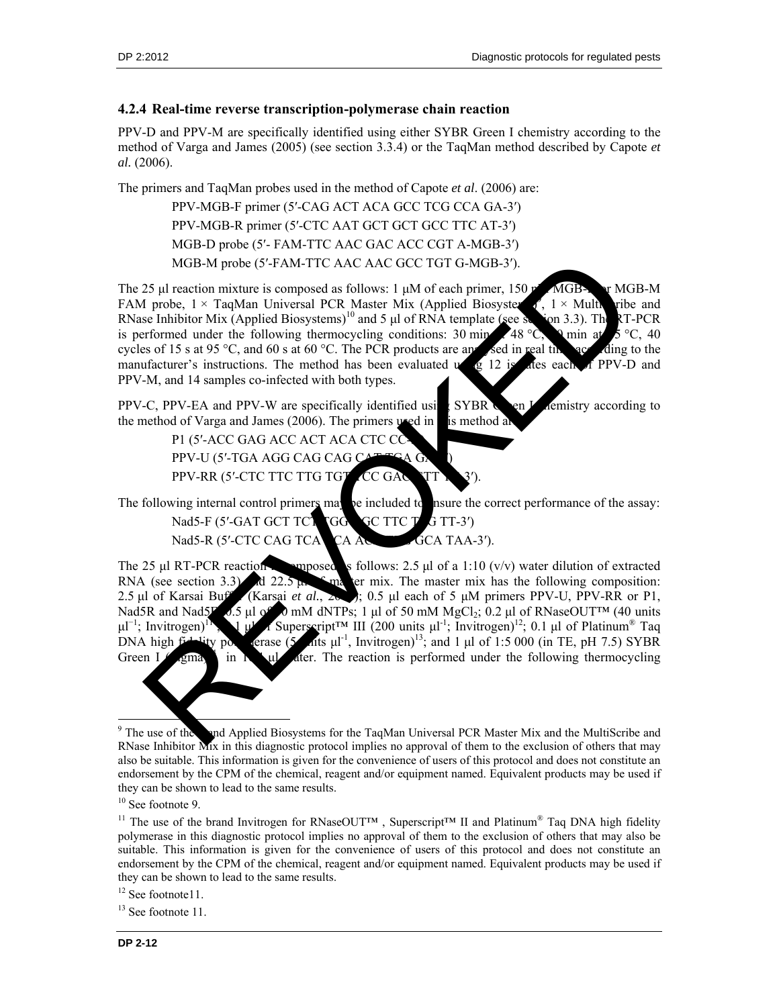### **4.2.4 Real-time reverse transcription-polymerase chain reaction**

PPV-D and PPV-M are specifically identified using either SYBR Green I chemistry according to the method of Varga and James (2005) (see section 3.3.4) or the TaqMan method described by Capote *et al.* (2006).

The primers and TaqMan probes used in the method of Capote *et al*. (2006) are:

PPV-MGB-F primer (5′-CAG ACT ACA GCC TCG CCA GA-3′) PPV-MGB-R primer (5′-CTC AAT GCT GCT GCC TTC AT-3′) MGB-D probe (5′- FAM-TTC AAC GAC ACC CGT A-MGB-3′) MGB-M probe (5′-FAM-TTC AAC AAC GCC TGT G-MGB-3′).

The 25 μl reaction mixture is composed as follows: 1 μM of each primer, 150  $\mu$  MGB- $\mu$  MGB-M FAM probe,  $1 \times$  TaqMan Universal PCR Master Mix (Applied Biosystems)  $1 \times$  Multi ribe and RNase Inhibitor Mix (Applied Biosystems)<sup>10</sup> and 5 µl of RNA template (see section 3.3). The RT-PCR is performed under the following thermocycling conditions: 30 min at  $\sim 48 \degree C$ ,  $\gamma$  min at  $\sim 5 \degree C$ , 40 cycles of 15 s at 95 °C, and 60 s at 60 °C. The PCR products are analysed in real time according to the manufacturer's instructions. The method has been evaluated  $\frac{1}{2}$  12 is also each of PPV-D and PPV-M, and 14 samples co-infected with both types.

PPV-C, PPV-EA and PPV-W are specifically identified using SYBR Green I chemistry according to the method of Varga and James (2006). The primers used in  $\Box$  is method a

P1 (5'-ACC GAG ACC ACT ACA CTC CO PPV-U (5'-TGA AGG CAG CAG C PPV-RR (5'-CTC TTC TTG TGT TCC GAC

The following internal control primers may be included to have the correct performance of the assay:

Nad5-F (5'-GAT GCT TCT TGG GC TTC T  $G$  TT-3')

Nad5-R (5'-CTC CAG TCA CA ACA TAA-3').

The 25 μl RT-PCR reaction is emposed as follows: 2.5 μl of a 1:10 (v/v) water dilution of extracted RNA (see section 3.3) and 22.5 μl of master mix. The master mix has the following composition: 2.5 μl of Karsai Buffer (Karsai *et al.*, 2002); 0.5 μl each of 5 μM primers PPV-U, PPV-RR or P1, Nad5R and Nad5F<sub>10.5</sub> μl of  $\bullet$  mM dNTPs; 1 μl of 50 mM MgCl<sub>2</sub>; 0.2 μl of RNaseOUT<sup>M</sup> (40 units  $\mu$ l $^{-1}$ ; Invitrogen)<sup>11</sup>,  $\mathbf{1}$   $\mu$  Superscript<sup>TM</sup> III (200 units  $\mu$ <sup>1-1</sup>; Invitrogen)<sup>12</sup>; 0.1  $\mu$ l of Platinum<sup>®</sup> Taq DNA high fidelity polymerase (5  $\mu$ <sup>1</sup>, Invitrogen)<sup>13</sup>; and 1 μl of 1:5 000 (in TE, pH 7.5) SYBR Green I  $\mu$  in 16.1 ul der. The reaction is performed under the following thermocycling MGB-M probe (5'-FAM-TTC AAC AAC GCC TGT G-MGB-3).<br>
25 µI reaction mixture is composed as follows: 1 µM of each primer, 150<br>
19 µ reaction mixture is composed as follows: 1 µM of each primer, 150<br>
18 µ reaction for Manu In

 $12$  See footnote 11.

l <sup>9</sup> The use of the and Applied Biosystems for the TaqMan Universal PCR Master Mix and the MultiScribe and RNase Inhibitor Mix in this diagnostic protocol implies no approval of them to the exclusion of others that may also be suitable. This information is given for the convenience of users of this protocol and does not constitute an endorsement by the CPM of the chemical, reagent and/or equipment named. Equivalent products may be used if they can be shown to lead to the same results.

<sup>&</sup>lt;sup>10</sup> See footnote 9.

<sup>&</sup>lt;sup>11</sup> The use of the brand Invitrogen for RNaseOUT<sup>TM</sup>, Superscript<sup>TM</sup> II and Platinum<sup>®</sup> Taq DNA high fidelity polymerase in this diagnostic protocol implies no approval of them to the exclusion of others that may also be suitable. This information is given for the convenience of users of this protocol and does not constitute an endorsement by the CPM of the chemical, reagent and/or equipment named. Equivalent products may be used if they can be shown to lead to the same results.

<sup>&</sup>lt;sup>13</sup> See footnote 11.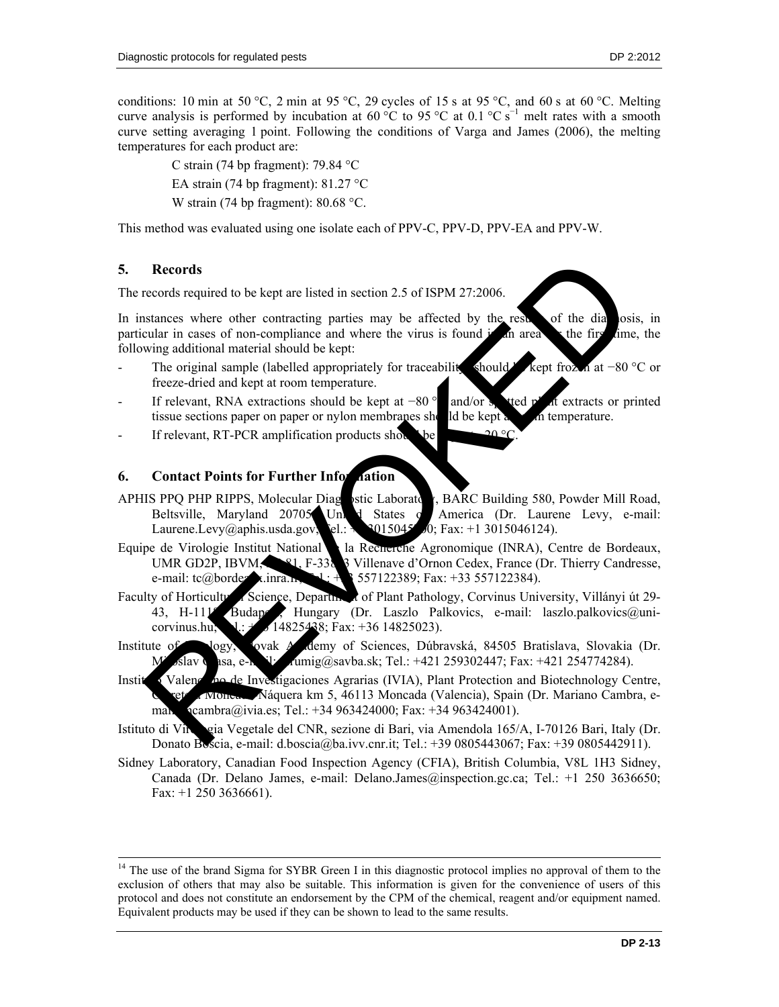conditions: 10 min at 50 °C, 2 min at 95 °C, 29 cycles of 15 s at 95 °C, and 60 s at 60 °C. Melting curve analysis is performed by incubation at 60 °C to 95 °C at 0.1 °C s<sup>-1</sup> melt rates with a smooth curve setting averaging 1 point. Following the conditions of Varga and James (2006), the melting temperatures for each product are:

C strain (74 bp fragment): 79.84 °C EA strain (74 bp fragment):  $81.27^{\circ}$ C W strain (74 bp fragment): 80.68 °C.

This method was evaluated using one isolate each of PPV-C, PPV-D, PPV-EA and PPV-W.

#### **5. Records**

l

The records required to be kept are listed in section 2.5 of ISPM 27:2006.

In instances where other contracting parties may be affected by the results of the diagnosis, in particular in cases of non-compliance and where the virus is found  $\frac{1}{2}$  an area the first time, the following additional material should be kept:

- The original sample (labelled appropriately for traceabilit should kept froz  $\Lambda$  at −80 °C or freeze-dried and kept at room temperature.
- If relevant, RNA extractions should be kept at −80 ° and/or spotted p<sup>la</sup>nt extracts or printed tissue sections paper on paper or nylon membranes should be kept at the room temperature.
- If relevant, RT-PCR amplification products sho

## **6.** Contact Points for Further Information

- APHIS PPQ PHP RIPPS, Molecular Diagnostic Laboratory, BARC Building 580, Powder Mill Road, Beltsville, Maryland 20705, United States of America (Dr. Laurene Levy, e-mail: Laurene.Levy@aphis.usda.gov;  $\text{el.}: +13015045700$ ; Fax: +1 3015046124).
- Equipe de Virologie Institut National de la Recherche Agronomique (INRA), Centre de Bordeaux, UMR GD2P, IBVM,  $\mathbb{R}^2$ , F-338 3 Villenave d'Ornon Cedex, France (Dr. Thierry Candresse, e-mail: tc@bordeaux.inra.fr;  $\frac{1}{2}$ : + $\frac{3}{2}$  557122389; Fax: +33 557122384). Records<br>
records<br>
records required to be kept are listed in section 2.5 of ISPM 27:2006.<br>
Extendent in cases of non-complisines and where the virus is found in ances of the dial ositiva<br>
wing additional material should be
- Faculty of Horticultural Science, Department of Plant Pathology, Corvinus University, Villányi út 29-43, H-111<sup>8</sup> Budapest, Hungary (Dr. Laszlo Palkovics, e-mail: laszlo.palkovics@unicorvinus.hu;  $T: +36$  14825438; Fax: +36 14825023).
- Institute of Vogy, Sovak Academy of Sciences, Dúbravská, 84505 Bratislava, Slovakia (Dr. slav Glasa, e-mail: virumig@savba.sk; Tel.: +421 259302447; Fax: +421 254774284).
- Instituto Valenciano de Investigaciones Agrarias (IVIA), Plant Protection and Biotechnology Centre, Náquera km 5, 46113 Moncada (Valencia), Spain (Dr. Mariano Cambra, emah  $\alpha$  (cambra@ivia.es; Tel.: +34 963424000; Fax: +34 963424001).
- Istituto di Vinogia Vegetale del CNR, sezione di Bari, via Amendola 165/A, I-70126 Bari, Italy (Dr. Donato Boscia, e-mail: d.boscia@ba.ivv.cnr.it; Tel.: +39 0805443067; Fax: +39 0805442911).
- Sidney Laboratory, Canadian Food Inspection Agency (CFIA), British Columbia, V8L 1H3 Sidney, Canada (Dr. Delano James, e-mail: Delano.James@inspection.gc.ca; Tel.: +1 250 3636650; Fax: +1 250 3636661).

<sup>&</sup>lt;sup>14</sup> The use of the brand Sigma for SYBR Green I in this diagnostic protocol implies no approval of them to the exclusion of others that may also be suitable. This information is given for the convenience of users of this protocol and does not constitute an endorsement by the CPM of the chemical, reagent and/or equipment named. Equivalent products may be used if they can be shown to lead to the same results.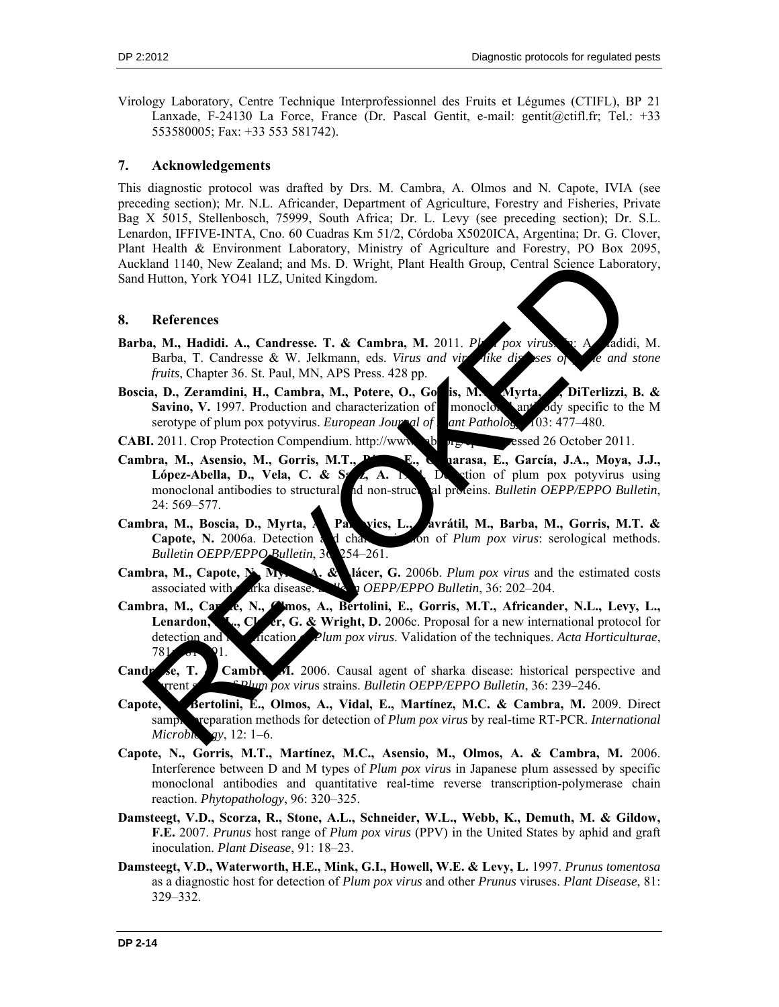Virology Laboratory, Centre Technique Interprofessionnel des Fruits et Légumes (CTIFL), BP 21 Lanxade, F-24130 La Force, France (Dr. Pascal Gentit, e-mail: gentit@ctifl.fr; Tel.: +33 553580005; Fax: +33 553 581742).

#### **7. Acknowledgements**

This diagnostic protocol was drafted by Drs. M. Cambra, A. Olmos and N. Capote, IVIA (see preceding section); Mr. N.L. Africander, Department of Agriculture, Forestry and Fisheries, Private Bag X 5015, Stellenbosch, 75999, South Africa; Dr. L. Levy (see preceding section); Dr. S.L. Lenardon, IFFIVE-INTA, Cno. 60 Cuadras Km 51/2, Córdoba X5020ICA, Argentina; Dr. G. Clover, Plant Health & Environment Laboratory, Ministry of Agriculture and Forestry, PO Box 2095, Auckland 1140, New Zealand; and Ms. D. Wright, Plant Health Group, Central Science Laboratory, Sand Hutton, York YO41 1LZ, United Kingdom.

#### **8. References**

- Barba, M., Hadidi. A., Candresse. T. & Cambra, M. 2011. *Plum pox virus. In: A. Addidi, M.* Barba, T. Candresse & W. Jelkmann, eds. *Virus and vir* like diseases of the and stone *fruits*, Chapter 36. St. Paul, MN, APS Press. 428 pp.
- Boscia, D., Zeramdini, H., Cambra, M., Potere, O., Go**rris, M., Myrta, A., DiTerlizzi, B. & Savino, V.** 1997. Production and characterization of monoclous and ody specific to the M serotype of plum pox potyvirus. *European Journal of Pathology*, 103: 477–480.

**CABI.** 2011. Crop Protection Compendium. http://www.cabi.org/cpc/sessed 26 October 2011.

- Cambra, M., Asensio, M., Gorris, M.T., P**érez, E., Carasa, E., García, J.A., Moya, J.J.**, **López-Abella, D., Vela, C. & S. 4, A. 1994. Detection of plum pox potyvirus using** monoclonal antibodies to structural and non-structural proteins. *Bulletin OEPP/EPPO Bulletin*, 24: 569–577.
- Cambra, M., Boscia, D., Myrta, A., Palkovics, L., Avrátil, M., Barba, M., Gorris, M.T. & **Capote, N.** 2006a. Detection and characterization of *Plum pox virus*: serological methods. *Bulletin OEPP/EPPO Bulletin*, 36: 254–261.
- **Cambra, M., Capote, N., Myr. 4. & Lácer, G.** 2006b. *Plum pox virus* and the estimated costs associated with sharka disease. **Bullet Bullet and Social Automobile Shareka** a *OEPP/EPPO Bulletin*, 36: 202–204.
- Cambra, M., Caroce, N., Chmos, A., Bertolini, E., Gorris, M.T., Africander, N.L., Levy, L., Lenardon, S., Clover, G. & Wright, D. 2006c. Proposal for a new international protocol for detection and increasing *Plum pox virus*. Validation of the techniques. *Acta Horticulturae*, 781: 181–191. cland 1140, New Zealand; and Ms D. Wright, Plant Health Group, Central Science Labora<br>
Hutton, York YO41 11.Z, United Kingdom.<br>
References<br>
20. M. Hadidi. A., Candresse. T. & Cambra, M. 2011. Prox virus and is<br>
batta, T.
- Candr<sub>2</sub> se, T. Cambra, M. 2006. Causal agent of sharka disease: historical perspective and current status of *Plum pox viru*s strains. *Bulletin OEPP/EPPO Bulletin*, 36: 239–246.
- Capote, Bertolini, E., Olmos, A., Vidal, E., Martínez, M.C. & Cambra, M. 2009. Direct sample preparation methods for detection of *Plum pox virus* by real-time RT-PCR. *International Microbiology*, 12: 1–6.
- **Capote, N., Gorris, M.T., Martínez, M.C., Asensio, M., Olmos, A. & Cambra, M.** 2006. Interference between D and M types of *Plum pox viru*s in Japanese plum assessed by specific monoclonal antibodies and quantitative real-time reverse transcription-polymerase chain reaction. *Phytopathology*, 96: 320–325.
- **Damsteegt, V.D., Scorza, R., Stone, A.L., Schneider, W.L., Webb, K., Demuth, M. & Gildow, F.E.** 2007. *Prunus* host range of *Plum pox virus* (PPV) in the United States by aphid and graft inoculation. *Plant Disease*, 91: 18–23.
- **Damsteegt, V.D., Waterworth, H.E., Mink, G.I., Howell, W.E. & Levy, L.** 1997. *Prunus tomentosa* as a diagnostic host for detection of *Plum pox virus* and other *Prunus* viruses. *Plant Disease*, 81: 329–332.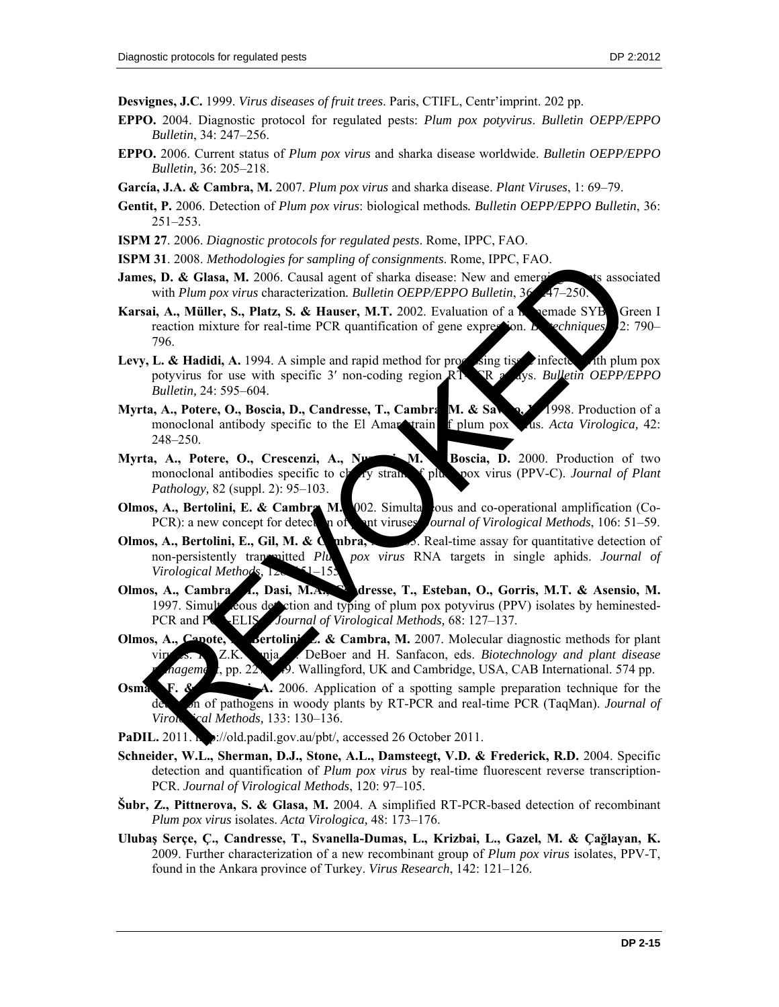**Desvignes, J.C.** 1999. *Virus diseases of fruit trees*. Paris, CTIFL, Centr'imprint. 202 pp.

- **EPPO.** 2004. Diagnostic protocol for regulated pests: *Plum pox potyvirus*. *Bulletin OEPP/EPPO Bulletin*, 34: 247–256.
- **EPPO.** 2006. Current status of *Plum pox virus* and sharka disease worldwide. *Bulletin OEPP/EPPO Bulletin,* 36: 205–218.
- **García, J.A. & Cambra, M.** 2007. *Plum pox virus* and sharka disease. *Plant Viruses*, 1: 69–79.
- **Gentit, P.** 2006. Detection of *Plum pox virus*: biological methods*. Bulletin OEPP/EPPO Bulletin*, 36: 251–253.
- **ISPM 27**. 2006. *Diagnostic protocols for regulated pests*. Rome, IPPC, FAO.
- **ISPM 31**. 2008. *Methodologies for sampling of consignments*. Rome, IPPC, FAO.
- **James, D. & Glasa, M.** 2006. Causal agent of sharka disease: New and emerging the sassociated with *Plum pox virus* characterization. Bulletin OEPP/EPPO Bulletin, 36:
- **Karsai, A., Müller, S., Platz, S. & Hauser, M.T.** 2002. Evaluation of a homemade SYB Green I reaction mixture for real-time PCR quantification of gene expression. *Biogeniques*, 2: 790– 796.
- **Levy, L. & Hadidi, A.** 1994. A simple and rapid method for processing tisses infected with plum pox potyvirus for use with specific 3' non-coding region RT-PR as ays. *Bulletin OEPP/EPPO Bulletin,* 24: 595–604.
- **Myrta, A., Potere, O., Boscia, D., Candresse, T., Cambra, M. & Savino, V. 1998.** Production of a monoclonal antibody specific to the El Amar train f plum pox vis. *Acta Virologica*, 42: 248–250.
- Myrta, A., Potere, O., Crescenzi, A., Nuzzaci, M. Boscia, D. 2000. Production of two monoclonal antibodies specific to cherry strain of plum pox virus (PPV-C). *Journal of Plant Pathology,* 82 (suppl. 2): 95–103.
- **Olmos, A., Bertolini, E. & Cambra, M.** 2002. Simultaneous and co-operational amplification (Co-PCR): a new concept for detection of plant viruses. *Journal of Virological Methods*, 106: 51–59.
- **Olmos, A., Bertolini, E., Gil, M. & Cambra, M. 2005.** Real-time assay for quantitative detection of non-persistently transmitted *Plum pox virus* RNA targets in single aphids. *Journal of Virological Methods,* 128: 1-155.
- Olmos, A., Cambra, J., Dasi, M.A., C. dresse, T., Esteban, O., Gorris, M.T. & Asensio, M. 1997. Simult cous detection and typing of plum pox potyvirus (PPV) isolates by heminested-PCR and PCR-ELIS<sup>*Journal of Virological Methods*, 68: 127–137.</sup>
- **Olmos, A., Capote, N., Bertolini, E. & Cambra, M.** 2007. Molecular diagnostic methods for plant *Physical E. Sanfacon, eds. Biotechnology and plant disease nageme*<sub>1</sub>, pp. 227–29. Wallingford, UK and Cambridge, USA, CAB International. 574 pp.
- **Osman, F. & Rowhand**, 2006. Application of a spotting sample preparation technique for the n of pathogens in woody plants by RT-PCR and real-time PCR (TaqMan). *Journal of Virological Methods,* 133: 130–136. M 31.2008. *Methodologies for sampling of consignments*. Rome, IPPC, FAO.<br>
with *Plum pox virus* changes for sampling of colaring disease. New and emerges see, with *Plum pox virus* changes that  $\Delta$ , Miller, S., Platz, S
- **PaDIL.** 2011. **http://old.padil.gov.au/pbt/, accessed 26 October 2011.**
- **Schneider, W.L., Sherman, D.J., Stone, A.L., Damsteegt, V.D. & Frederick, R.D.** 2004. Specific detection and quantification of *Plum pox virus* by real-time fluorescent reverse transcription-PCR. *Journal of Virological Methods*, 120: 97–105.
- **Šubr, Z., Pittnerova, S. & Glasa, M.** 2004. A simplified RT-PCR-based detection of recombinant *Plum pox virus* isolates. *Acta Virologica,* 48: 173–176.
- **Ulubaş Serçe, Ç., Candresse, T., Svanella-Dumas, L., Krizbai, L., Gazel, M. & Çağlayan, K.** 2009. Further characterization of a new recombinant group of *Plum pox virus* isolates, PPV-T, found in the Ankara province of Turkey. *Virus Research*, 142: 121–126.